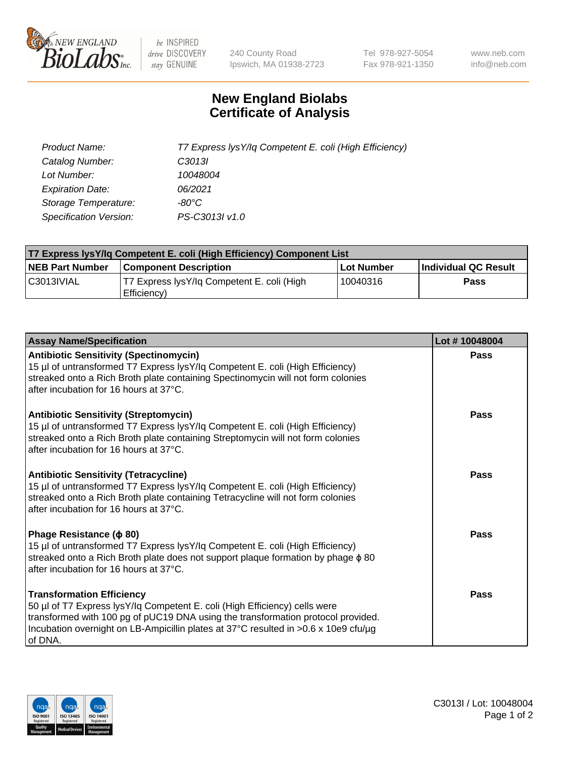

 $be$  INSPIRED drive DISCOVERY stay GENUINE

240 County Road Ipswich, MA 01938-2723 Tel 978-927-5054 Fax 978-921-1350 www.neb.com info@neb.com

## **New England Biolabs Certificate of Analysis**

| Product Name:           | T7 Express lysY/lq Competent E. coli (High Efficiency) |
|-------------------------|--------------------------------------------------------|
| Catalog Number:         | C <sub>3013</sub>                                      |
| Lot Number:             | 10048004                                               |
| <b>Expiration Date:</b> | 06/2021                                                |
| Storage Temperature:    | -80°C                                                  |
| Specification Version:  | PS-C3013I v1.0                                         |

| T7 Express lysY/lq Competent E. coli (High Efficiency) Component List |                                                           |            |                      |  |
|-----------------------------------------------------------------------|-----------------------------------------------------------|------------|----------------------|--|
| <b>NEB Part Number</b>                                                | <b>Component Description</b>                              | Lot Number | Individual QC Result |  |
| C3013IVIAL                                                            | T7 Express lysY/lg Competent E. coli (High<br>Efficiency) | 10040316   | <b>Pass</b>          |  |

| <b>Assay Name/Specification</b>                                                                                                                                                                                                                                                                      | Lot #10048004 |
|------------------------------------------------------------------------------------------------------------------------------------------------------------------------------------------------------------------------------------------------------------------------------------------------------|---------------|
| <b>Antibiotic Sensitivity (Spectinomycin)</b><br>15 µl of untransformed T7 Express lysY/lq Competent E. coli (High Efficiency)<br>streaked onto a Rich Broth plate containing Spectinomycin will not form colonies<br>after incubation for 16 hours at 37°C.                                         | Pass          |
| <b>Antibiotic Sensitivity (Streptomycin)</b><br>15 µl of untransformed T7 Express lysY/lq Competent E. coli (High Efficiency)<br>streaked onto a Rich Broth plate containing Streptomycin will not form colonies<br>after incubation for 16 hours at 37°C.                                           | Pass          |
| <b>Antibiotic Sensitivity (Tetracycline)</b><br>15 µl of untransformed T7 Express lysY/lq Competent E. coli (High Efficiency)<br>streaked onto a Rich Broth plate containing Tetracycline will not form colonies<br>after incubation for 16 hours at 37°C.                                           | Pass          |
| Phage Resistance ( $\phi$ 80)<br>15 µl of untransformed T7 Express lysY/lq Competent E. coli (High Efficiency)<br>streaked onto a Rich Broth plate does not support plaque formation by phage $\phi$ 80<br>after incubation for 16 hours at 37°C.                                                    | Pass          |
| <b>Transformation Efficiency</b><br>50 µl of T7 Express lysY/lq Competent E. coli (High Efficiency) cells were<br>transformed with 100 pg of pUC19 DNA using the transformation protocol provided.<br>Incubation overnight on LB-Ampicillin plates at 37°C resulted in >0.6 x 10e9 cfu/µg<br>of DNA. | Pass          |